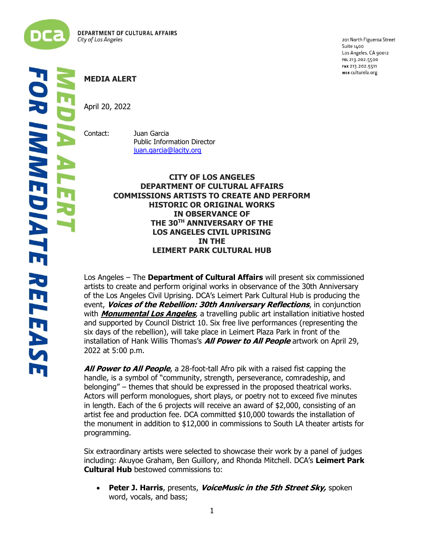

201 North Figueroa Street Suite 1400 Los Angeles, CA 90012 TEL 213.202.5500 FAX 213.202.5511 WEB culturela.org

## **MEDIA ALERT**

April 20, 2022

Contact: Juan Garcia Public Information Director [juan.garcia@lacity.org](mailto:juan.garcia@lacity.org)

## **CITY OF LOS ANGELES DEPARTMENT OF CULTURAL AFFAIRS COMMISSIONS ARTISTS TO CREATE AND PERFORM HISTORIC OR ORIGINAL WORKS IN OBSERVANCE OF THE 30TH ANNIVERSARY OF THE LOS ANGELES CIVIL UPRISING IN THE LEIMERT PARK CULTURAL HUB**

Los Angeles – The **Department of Cultural Affairs** will present six commissioned artists to create and perform original works in observance of the 30th Anniversary of the Los Angeles Civil Uprising. DCA's Leimert Park Cultural Hub is producing the event, **Voices of the Rebellion: 30th Anniversary Reflections**, in conjunction with **[Monumental Los Angeles](https://monumentaltour.org/current-location?mc_cid=953bddebbb&mc_eid=09c5cf6893)**, a travelling public art installation initiative hosted and supported by Council District 10. Six free live performances (representing the six days of the rebellion), will take place in Leimert Plaza Park in front of the installation of Hank Willis Thomas's **All Power to All People** artwork on April 29, 2022 at 5:00 p.m.

**All Power to All People**, a 28-foot-tall Afro pik with a raised fist capping the handle, is a symbol of "community, strength, perseverance, comradeship, and belonging" – themes that should be expressed in the proposed theatrical works. Actors will perform monologues, short plays, or poetry not to exceed five minutes in length. Each of the 6 projects will receive an award of \$2,000, consisting of an artist fee and production fee. DCA committed \$10,000 towards the installation of the monument in addition to \$12,000 in commissions to South LA theater artists for programming.

Six extraordinary artists were selected to showcase their work by a panel of judges including: Akuyoe Graham, Ben Guillory, and Rhonda Mitchell. DCA's **Leimert Park Cultural Hub** bestowed commissions to:

• **Peter J. Harris**, presents, **VoiceMusic in the 5th Street Sky,** spoken word, vocals, and bass;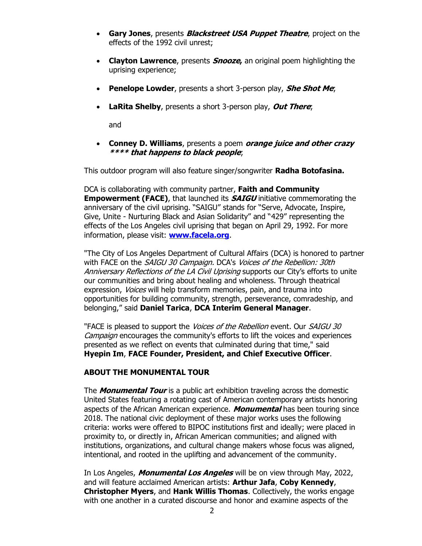- **Gary Jones**, presents **Blackstreet USA Puppet Theatre**, project on the effects of the 1992 civil unrest;
- **Clayton Lawrence**, presents **Snooze,** an original poem highlighting the uprising experience;
- **Penelope Lowder**, presents a short 3-person play, **She Shot Me**;
- **LaRita Shelby**, presents a short 3-person play, **Out There**;

and

• **Conney D. Williams**, presents a poem **orange juice and other crazy \*\*\*\* that happens to black people**;

This outdoor program will also feature singer/songwriter **Radha Botofasina.**

DCA is collaborating with community partner, **Faith and Community Empowerment (FACE)**, that launched its **SAIGU** initiative commemorating the anniversary of the civil uprising. "SAIGU" stands for "Serve, Advocate, Inspire, Give, Unite - Nurturing Black and Asian Solidarity" and "429" representing the effects of the Los Angeles civil uprising that began on April 29, 1992. For more information, please visit: **[www.facela.org](http://www.facela.org/)**.

"The City of Los Angeles Department of Cultural Affairs (DCA) is honored to partner with FACE on the SAIGU 30 Campaign. DCA's Voices of the Rebellion: 30th Anniversary Reflections of the LA Civil Uprising supports our City's efforts to unite our communities and bring about healing and wholeness. Through theatrical expression, *Voices* will help transform memories, pain, and trauma into opportunities for building community, strength, perseverance, comradeship, and belonging," said **Daniel Tarica**, **DCA Interim General Manager**.

"FACE is pleased to support the Voices of the Rebellion event. Our SAIGU 30 Campaign encourages the community's efforts to lift the voices and experiences presented as we reflect on events that culminated during that time," said **Hyepin Im**, **FACE Founder, President, and Chief Executive Officer**.

## **ABOUT THE MONUMENTAL TOUR**

The **Monumental Tour** is a public art exhibition traveling across the domestic United States featuring a rotating cast of American contemporary artists honoring aspects of the African American experience. **Monumental** has been touring since 2018. The national civic deployment of these major works uses the following criteria: works were offered to BIPOC institutions first and ideally; were placed in proximity to, or directly in, African American communities; and aligned with institutions, organizations, and cultural change makers whose focus was aligned, intentional, and rooted in the uplifting and advancement of the community.

In Los Angeles, **Monumental Los Angeles** will be on view through May, 2022, and will feature acclaimed American artists: **Arthur Jafa**, **Coby Kennedy**, **Christopher Myers**, and **Hank Willis Thomas**. Collectively, the works engage with one another in a curated discourse and honor and examine aspects of the